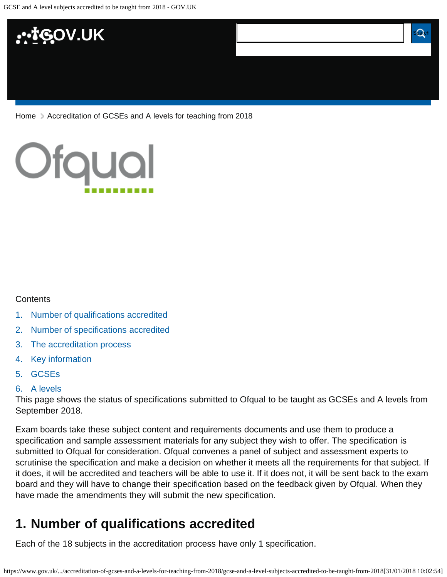

[Home](https://www.gov.uk/) > [Accreditation of GCSEs and A levels for teaching from 2018](https://www.gov.uk/government/publications/accreditation-of-gcses-and-a-levels-for-teaching-from-2018)



#### **Contents**

- [1.](#page-0-0) [Number of qualifications accredited](#page-0-0)
- [2.](#page-1-0) [Number of specifications accredited](#page-1-0)
- [3.](#page-1-1) [The accreditation process](#page-1-1)
- [4.](#page-1-2) [Key information](#page-1-2)
- [5.](#page-1-3) [GCSEs](#page-1-3)

#### [6.](#page-2-0) [A levels](#page-2-0)

This page shows the status of specifications submitted to Ofqual to be taught as GCSEs and A levels from September 2018.

Exam boards take these subject content and requirements documents and use them to produce a specification and sample assessment materials for any subject they wish to offer. The specification is submitted to Ofqual for consideration. Ofqual convenes a panel of subject and assessment experts to scrutinise the specification and make a decision on whether it meets all the requirements for that subject. If it does, it will be accredited and teachers will be able to use it. If it does not, it will be sent back to the exam board and they will have to change their specification based on the feedback given by Ofqual. When they have made the amendments they will submit the new specification.

# <span id="page-0-0"></span>**1. Number of qualifications accredited**

Each of the 18 subjects in the accreditation process have only 1 specification.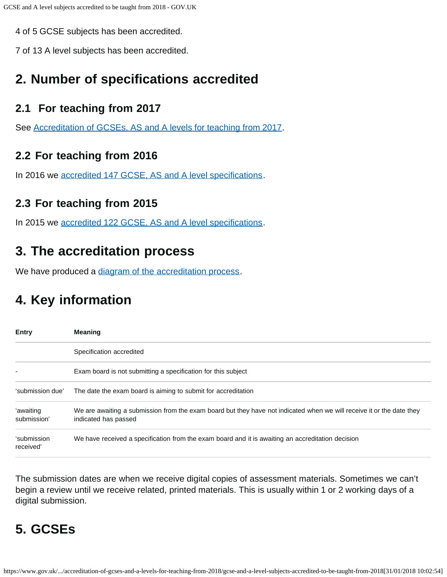4 of 5 GCSE subjects has been accredited.

7 of 13 A level subjects has been accredited.

## <span id="page-1-0"></span>**2. Number of specifications accredited**

### **2.1 For teaching from 2017**

See [Accreditation of GCSEs, AS and A levels for teaching from 2017.](https://www.gov.uk/government/publications/accreditation-of-gcses-as-a-levels-for-teaching-from-2017)

### **2.2 For teaching from 2016**

In 2016 we [accredited 147 GCSE, AS and A level specifications.](https://www.gov.uk/government/publications/accreditation-of-gcses-as-a-levels-for-teaching-from-2016)

### **2.3 For teaching from 2015**

In 2015 we [accredited 122 GCSE, AS and A level specifications.](https://www.gov.uk/government/publications/new-gcses-as-and-a-levels-accredited-to-be-taught-from-2015)

## <span id="page-1-1"></span>**3. The accreditation process**

We have produced a [diagram of the accreditation process.](https://www.gov.uk/government/publications/your-qualification-our-regulation-gcse-as-and-a-level-reforms#attachment_1634078)

# <span id="page-1-2"></span>**4. Key information**

| <b>Entry</b>             | <b>Meaning</b>                                                                                                                                |  |  |  |
|--------------------------|-----------------------------------------------------------------------------------------------------------------------------------------------|--|--|--|
|                          | Specification accredited                                                                                                                      |  |  |  |
|                          | Exam board is not submitting a specification for this subject                                                                                 |  |  |  |
| 'submission due'         | The date the exam board is aiming to submit for accreditation                                                                                 |  |  |  |
| 'awaiting<br>submission' | We are awaiting a submission from the exam board but they have not indicated when we will receive it or the date they<br>indicated has passed |  |  |  |
| 'submission<br>received' | We have received a specification from the exam board and it is awaiting an accreditation decision                                             |  |  |  |

The submission dates are when we receive digital copies of assessment materials. Sometimes we can't begin a review until we receive related, printed materials. This is usually within 1 or 2 working days of a digital submission.

# <span id="page-1-3"></span>**5. GCSEs**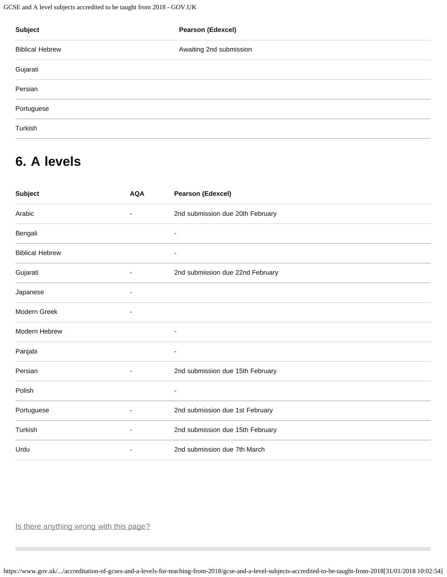GCSE and A level subjects accredited to be taught from 2018 - GOV.UK

| Subject                | <b>Pearson (Edexcel)</b> |  |  |  |
|------------------------|--------------------------|--|--|--|
| <b>Biblical Hebrew</b> | Awaiting 2nd submission  |  |  |  |
| Gujarati               |                          |  |  |  |
| Persian                |                          |  |  |  |
| Portuguese             |                          |  |  |  |
| Turkish                |                          |  |  |  |

# <span id="page-2-0"></span>**6. A levels**

| <b>Subject</b>         | <b>AQA</b>               | <b>Pearson (Edexcel)</b>         |
|------------------------|--------------------------|----------------------------------|
| Arabic                 |                          | 2nd submission due 20th February |
| Bengali                |                          | $\overline{\phantom{a}}$         |
| <b>Biblical Hebrew</b> |                          |                                  |
| Gujarati               | $\blacksquare$           | 2nd submission due 22nd February |
| Japanese               | $\overline{\phantom{a}}$ |                                  |
| Modern Greek           |                          |                                  |
| Modern Hebrew          |                          | $\overline{\phantom{a}}$         |
| Panjabi                |                          | ٠                                |
| Persian                |                          | 2nd submission due 15th February |
| Polish                 |                          |                                  |
| Portuguese             | $\blacksquare$           | 2nd submission due 1st February  |
| Turkish                |                          | 2nd submission due 15th February |
| Urdu                   | $\overline{\phantom{a}}$ | 2nd submission due 7th March     |
|                        |                          |                                  |

Is there anything wrong with this page?

https://www.gov.uk/.../accreditation-of-gcses-and-a-levels-for-teaching-from-2018/gcse-and-a-level-subjects-accredited-to-be-taught-from-2018[31/01/2018 10:02:54]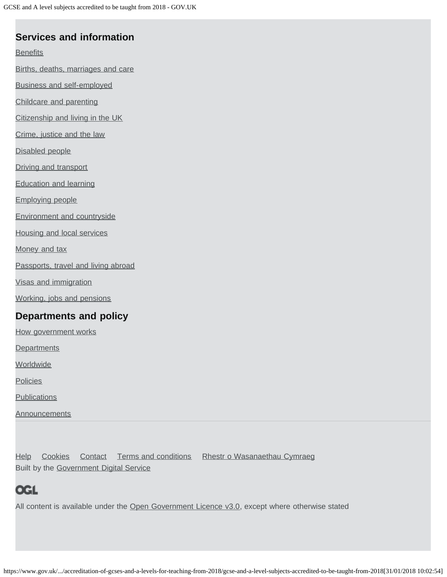## **Services and information**

### **[Benefits](https://www.gov.uk/browse/benefits)**

[Births, deaths, marriages and care](https://www.gov.uk/browse/births-deaths-marriages)

[Business and self-employed](https://www.gov.uk/browse/business)

[Childcare and parenting](https://www.gov.uk/browse/childcare-parenting)

[Citizenship and living in the UK](https://www.gov.uk/browse/citizenship)

[Crime, justice and the law](https://www.gov.uk/browse/justice)

[Disabled people](https://www.gov.uk/browse/disabilities)

[Driving and transport](https://www.gov.uk/browse/driving)

[Education and learning](https://www.gov.uk/browse/education)

[Employing people](https://www.gov.uk/browse/employing-people)

[Environment and countryside](https://www.gov.uk/browse/environment-countryside)

[Housing and local services](https://www.gov.uk/browse/housing-local-services)

[Money and tax](https://www.gov.uk/browse/tax)

[Passports, travel and living abroad](https://www.gov.uk/browse/abroad)

[Visas and immigration](https://www.gov.uk/browse/visas-immigration)

[Working, jobs and pensions](https://www.gov.uk/browse/working)

### **Departments and policy**

[How government works](https://www.gov.uk/government/how-government-works)

**[Departments](https://www.gov.uk/government/organisations)** 

**[Worldwide](https://www.gov.uk/world)** 

**[Policies](https://www.gov.uk/government/policies)** 

**[Publications](https://www.gov.uk/government/publications)** 

**[Announcements](https://www.gov.uk/government/announcements)** 

[Help](https://www.gov.uk/help) [Cookies](https://www.gov.uk/help/cookies) [Contact](https://www.gov.uk/contact) [Terms and conditions](https://www.gov.uk/help/terms-conditions) [Rhestr o Wasanaethau Cymraeg](https://www.gov.uk/cymraeg) Built by the [Government Digital Service](https://www.gov.uk/government/organisations/government-digital-service)

# **OGL**

All content is available under the [Open Government Licence v3.0,](https://www.nationalarchives.gov.uk/doc/open-government-licence/version/3/) except where otherwise stated